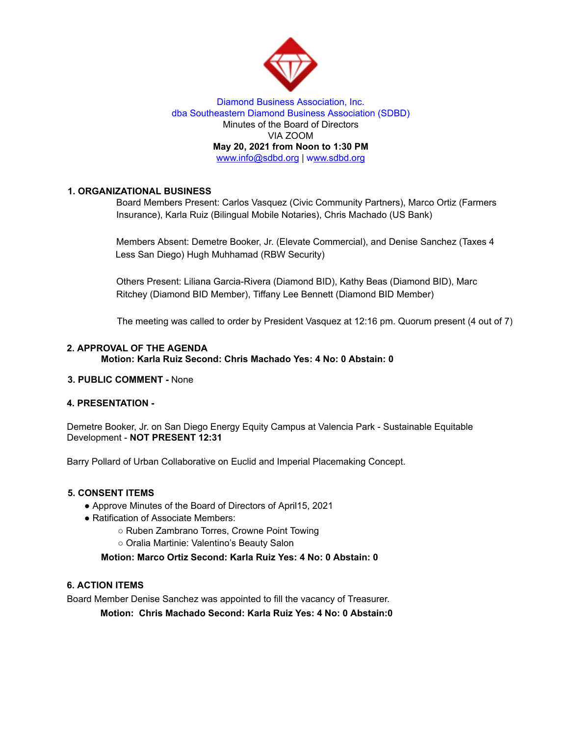

#### Diamond Business Association, Inc. dba Southeastern Diamond Business Association (SDBD) Minutes of the Board of Directors VIA ZOOM **May 20, 2021 from Noon to 1:30 PM** www.info@sdbd.org | www.sdbd.org

## **1. ORGANIZATIONAL BUSINESS**

Board Members Present: Carlos Vasquez (Civic Community Partners), Marco Ortiz (Farmers Insurance), Karla Ruiz (Bilingual Mobile Notaries), Chris Machado (US Bank)

Members Absent: Demetre Booker, Jr. (Elevate Commercial), and Denise Sanchez (Taxes 4 Less San Diego) Hugh Muhhamad (RBW Security)

Others Present: Liliana Garcia-Rivera (Diamond BID), Kathy Beas (Diamond BID), Marc Ritchey (Diamond BID Member), Tiffany Lee Bennett (Diamond BID Member)

The meeting was called to order by President Vasquez at 12:16 pm. Quorum present (4 out of 7)

#### **2. APPROVAL OF THE AGENDA Motion: Karla Ruiz Second: Chris Machado Yes: 4 No: 0 Abstain: 0**

#### **3. PUBLIC COMMENT -** None

## **4. PRESENTATION -**

Demetre Booker, Jr. on San Diego Energy Equity Campus at Valencia Park - Sustainable Equitable Development - **NOT PRESENT 12:31**

Barry Pollard of Urban Collaborative on Euclid and Imperial Placemaking Concept.

#### **5. CONSENT ITEMS**

- Approve Minutes of the Board of Directors of April15, 2021
- Ratification of Associate Members:
	- Ruben Zambrano Torres, Crowne Point Towing
	- Oralia Martinie: Valentino's Beauty Salon

## **Motion: Marco Ortiz Second: Karla Ruiz Yes: 4 No: 0 Abstain: 0**

# **6. ACTION ITEMS**

Board Member Denise Sanchez was appointed to fill the vacancy of Treasurer.

**Motion: Chris Machado Second: Karla Ruiz Yes: 4 No: 0 Abstain:0**